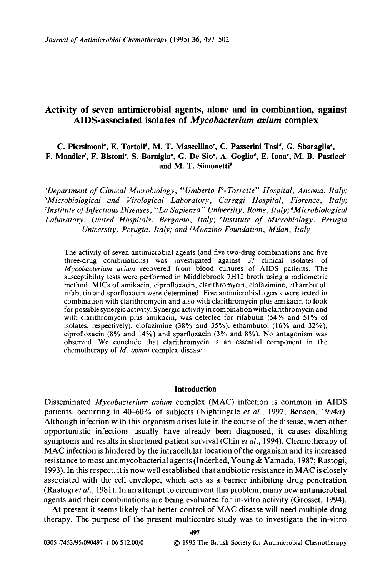# Activity of seven antimicrobial agents, alone and in combination, against AIDS-associated isolates of *Mycobacterium avium* complex

## **C. Piersimoni', E. Tortoli', M. T. Mascellino', C. Passerini Tosi', G. Sbaraglia',** F. Mandler<sup>c</sup>, F. Bistoni<sup>c</sup>, S. Bornigia<sup>t</sup>, G. De Sio<sup>t</sup>, A. Goglio<sup>t</sup>, E. Iona<sup>c</sup>, M. B. Pasticci<sup>r</sup> **and M. T. Simonetti\***

*"Department of Clinical Microbiology, "Umberto F-Torrette" Hospital, Ancona, Italy; <sup>b</sup>Microbiological and Virological Laboratory, Careggi Hospital, Florence, Italy; 'Institute of Infectious Diseases, "La Sapienza" University, Rome, Italy; ^Microbiological Laboratory, United Hospitals, Bergamo, Italy; 'Institute of Microbiology, Perugia University, Perugia, Italy; and {Monzino Foundation, Milan, Italy*

The activity of seven antimicrobial agents (and five two-drug combinations and five three-drug combinations) was investigated against 37 clinical isolates of *Mycobacterium avium* recovered from blood cultures of AIDS patients. The susceptibility tests were performed in Middlebrook 7H12 broth using a radiometric method. MICs of amikacin, ciprofloxacin, clarithromycin, clofazimine, ethambutol, rifabutin and sparfloxacin were determined. Five antimicrobial agents were tested in combination with clarithromycin and also with clarithromycin plus amikacin to look for possible synergic activity. Synergic activity in combination with clarithromycin and with clarithromycin plus amikacin, was detected for rifabutin (54% and 51% of isolates, respectively), clofazimine (38% and 35%), ethambutol (16% and 32%), ciprofloxacin (8% and 14%) and sparfloxacin (3% and 8%). No antagonism was observed. We conclude that clarithromycin is an essential component in the chemotherapy of *M. avium* complex disease.

## **Introduction**

Disseminated *Mycobacterium avium* complex (MAC) infection is common in AIDS patients, occurring in 40-60% of subjects (Nightingale *et al.,* 1992; Benson, 1994a). Although infection with this organism arises late in the course of the disease, when other opportunistic infections usually have already been diagnosed, it causes disabling symptoms and results in shortened patient survival (Chin *et al.,* 1994). Chemotherapy of MAC infection is hindered by the intracellular location of the organism and its increased resistance to most antimycobacterial agents (Inderlied, Young & Yamada, 1987; Rastogi, 1993). In this respect, it is now well established that antibiotic resistance in MAC is closely associated with the cell envelope, which acts as a barrier inhibiting drug penetration (Rastogi *et al.,* 1981). In an attempt to circumvent this problem, many new antimicrobial agents and their combinations are being evaluated for in-vitro activity (Grosset, 1994).

At present it seems likely that better control of MAC disease will need multiple-drug therapy. The purpose of the present multicentre study was to investigate the in-vitro

**497**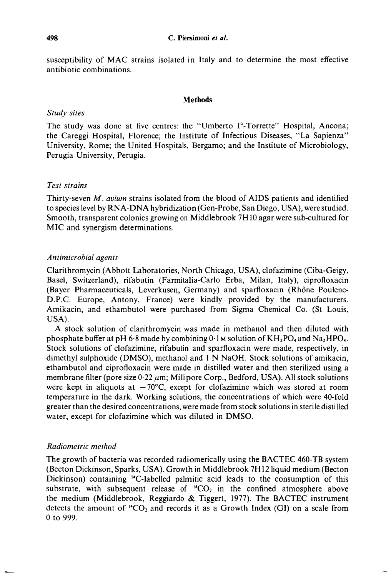susceptibility of MAC strains isolated in Italy and to determine the most effective antibiotic combinations.

#### **Methods**

## *Study sites*

The study was done at five centres: the "Umberto I°-Torrette" Hospital, Ancona; the Careggi Hospital, Florence; the Institute of Infectious Diseases, "La Sapienza" University, Rome; the United Hospitals, Bergamo; and the Institute of Microbiology, Perugia University, Perugia.

## *Test strains*

Thirty-seven *M. avium* strains isolated from the blood of AIDS patients and identified to species level by RNA-DNA hybridization (Gen-Probe, San Diego, USA), were studied. Smooth, transparent colonies growing on Middlebrook 7H10 agar were sub-cultured for MIC and synergism determinations.

## *Antimicrobial agents*

Clarithromycin (Abbott Laboratories, North Chicago, USA), clofazimine (Ciba-Geigy, Basel, Switzerland), rifabutin (Farmitalia-Carlo Erba, Milan, Italy), ciprofloxacin (Bayer Pharmaceuticals, Leverkusen, Germany) and sparfloxacin (Rhône Poulenc-D.P.C. Europe, Antony, France) were kindly provided by the manufacturers. Amikacin, and ethambutol were purchased from Sigma Chemical Co. (St Louis, USA).

A stock solution of clarithromycin was made in methanol and then diluted with phosphate buffer at pH 6.8 made by combining  $0.1$  M solution of  $KH_2PO_4$  and Na<sub>2</sub>HPO<sub>4</sub>. Stock solutions of clofazimine, rifabutin and sparfloxacin were made, respectively, in dimethyl sulphoxide (DMSO), methanol and 1 N NaOH. Stock solutions of amikacin, ethambutol and ciprofloxacin were made in distilled water and then sterilized using a membrane filter (pore size 0.22  $\mu$ m; Millipore Corp., Bedford, USA). All stock solutions were kept in aliquots at  $-70^{\circ}$ C, except for clofazimine which was stored at room temperature in the dark. Working solutions, the concentrations of which were 40-fold greater than the desired concentrations, were made from stock solutions in sterile distilled water, except for clofazimine which was diluted in DMSO.

## *Radiometric method*

The growth of bacteria was recorded radiomerically using the BACTEC 460-TB system (Becton Dickinson, Sparks, USA). Growth in Middlebrook 7H12 liquid medium (Becton Dickinson) containing ''C-labelled palmitic acid leads to the consumption of this substrate, with subsequent release of  ${}^{14}CO_2$  in the confined atmosphere above the medium (Middlebrook, Reggiardo & Tiggert, 1977). The BACTEC instrument detects the amount of  ${}^{14}CO_2$  and records it as a Growth Index (GI) on a scale from 0 to 999.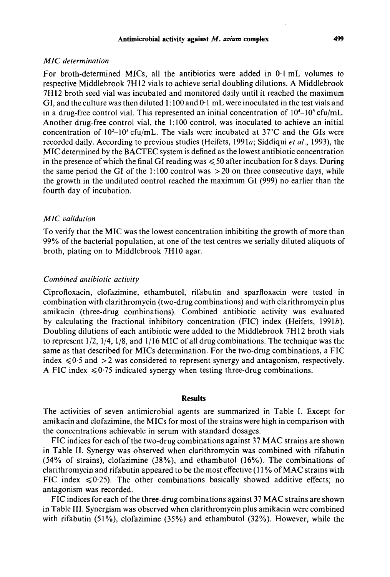#### Antimicrobial activity against *M. avium* complex 499

## *MIC determination*

For broth-determined MICs, all the antibiotics were added in 0-1 mL volumes to respective Middlebrook 7H12 vials to achieve serial doubling dilutions. A Middlebrook 7H12 broth seed vial was incubated and monitored daily until it reached the maximum GI, and the culture was then diluted  $1:100$  and  $0:1$  mL were inoculated in the test vials and in a drug-free control vial. This represented an initial concentration of  $10<sup>4</sup>-10<sup>5</sup>$  cfu/mL. Another drug-free control vial, the 1:100 control, was inoculated to achieve an initial concentration of  $10^2$ – $10^3$  cfu/mL. The vials were incubated at 37°C and the GIs were recorded daily. According to previous studies (Heifets, 1991a; Siddiqui *et al.,* 1993), the MIC determined by the BACTEC system is defined as the lowest antibiotic concentration in the presence of which the final GI reading was  $\leq 50$  after incubation for 8 days. During the same period the GI of the  $1:100$  control was  $>20$  on three consecutive days, while the growth in the undiluted control reached the maximum GI (999) no earlier than the fourth day of incubation.

## *MIC validation*

To verify that the MIC was the lowest concentration inhibiting the growth of more than 99% of the bacterial population, at one of the test centres we serially diluted aliquots of broth, plating on to Middlebrook 7H10 agar.

## *Combined antibiotic activity*

Ciprofloxacin, clofazimine, ethambutol, rifabutin and sparfloxacin were tested in combination with clarithromycin (two-drug combinations) and with clarithromycin plus amikacin (three-drug combinations). Combined antibiotic activity was evaluated by calculating the fractional inhibitory concentration (FIC) index (Heifets, 19916). Doubling dilutions of each antibiotic were added to the Middlebrook 7H12 broth vials to represent  $1/2$ ,  $1/4$ ,  $1/8$ , and  $1/16$  MIC of all drug combinations. The technique was the same as that described for MICs determination. For the two-drug combinations, a FIC index  $\leq 0.5$  and  $>2$  was considered to represent synergy and antagonism, respectively. A FIC index  $\leq 0.75$  indicated synergy when testing three-drug combinations.

## **Results**

The activities of seven antimicrobial agents are summarized in Table I. Except for amikacin and clofazimine, the MICs for most of the strains were high in comparison with the concentrations achievable in serum with standard dosages.

FIC indices for each of the two-drug combinations against 37 MAC strains are shown in Table II. Synergy was observed when clarithromycin was combined with rifabutin (54% of strains), clofazimine (38%), and ethambutol (16%). The combinations of clarithromycin and rifabutin appeared to be the most effective (11 % of MAC strains with FIC index  $\leq 0.25$ ). The other combinations basically showed additive effects; no antagonism was recorded.

FIC indices for each of the three-drug combinations against 37 MAC strains are shown in Table III. Synergism was observed when clarithromycin plus amikacin were combined with rifabutin (51%), clofazimine (35%) and ethambutol (32%). However, while the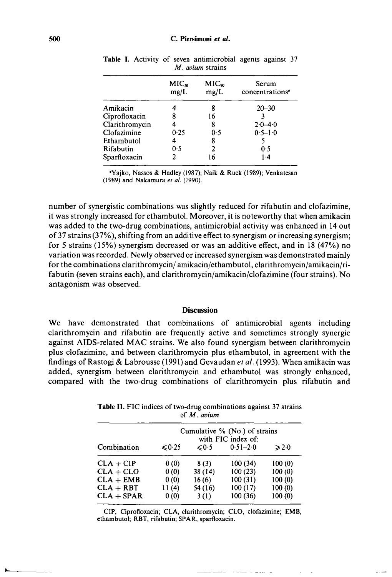|                | MIC <sub>9</sub><br>mg/L | $MIC_{\infty}$<br>mg/L | Serum<br>concentrations <sup>®</sup> |
|----------------|--------------------------|------------------------|--------------------------------------|
| Amikacin       |                          | 8                      | $20 - 30$                            |
| Ciprofloxacin  |                          | 16                     |                                      |
| Clarithromycin |                          | 8                      | $2.0 - 4.0$                          |
| Clofazimine    | 0.25                     | 0.5                    | $0.5 - 1.0$                          |
| Ethambutol     |                          | 8                      |                                      |
| Rifabutin      | 0.5                      | 2                      | 0.5                                  |
| Sparfloxacin   |                          | 16                     | $1-4$                                |
|                |                          |                        |                                      |

**Table I.** Activity of seven antimicrobial agents against 37 *M. avium* strains

•Yajko, Nassos & Hadley (1987); Naik & Ruck (1989); Venkatesan (1989) and Nakamura *et al.* (1990).

number of synergistic combinations was slightly reduced for rifabutin and clofazimine, it was strongly increased for ethambutol. Moreover, it is noteworthy that when amikacin was added to the two-drug combinations, antimicrobial activity was enhanced in 14 out of 37 strains (37%), shifting from an additive effect to synergism or increasing synergism; for 5 strains (15%) synergism decreased or was an additive effect, and in 18 (47%) no variation was recorded. Newly observed or increased synergism was demonstrated mainly for the combinations clarithromycin/ amikacin/ethambutol, clarithromycin/amikacin/rifabutin (seven strains each), and clarithromycin/amikacin/clofazimine (four strains). No antagonism was observed.

#### **Discussion**

We have demonstrated that combinations of antimicrobial agents including clarithromycin and rifabutin are frequently active and sometimes strongly synergic against AIDS-related MAC strains. We also found synergism between clarithromycin plus clofazimine, and between clarithromycin plus ethambutol, in agreement with the findings of Rastogi & Labrousse (1991) and Gevaudan *et al.* (1993). When amikacin was added, synergism between clarithromycin and ethambutol was strongly enhanced, compared with the two-drug combinations of clarithromycin plus rifabutin and

| Combination  | Cumulative % (No.) of strains<br>with FIC index of: |                 |              |                 |  |
|--------------|-----------------------------------------------------|-----------------|--------------|-----------------|--|
|              | $\leq 0.25$                                         | $\leqslant$ 0.5 | $0.51 - 2.0$ | $\geqslant$ 2.0 |  |
| $CLA + CIP$  | 0(0)                                                | 8(3)            | 100(34)      | 100(0)          |  |
| $CLA + CLO$  | 0(0)                                                | 38 (14)         | 100(23)      | 100(0)          |  |
| $CLA + EMB$  | 0(0)                                                | 16(6)           | 100(31)      | 100(0)          |  |
| $CLA + RBT$  | 11(4)                                               | 54 (16)         | 100(17)      | 100(0)          |  |
| $CLA + SPAR$ | 0(0)                                                | 3(1)            | 100(36)      | 100(0)          |  |

Table II. FIC indices of two-drug combinations against 37 strains of *M. avium*

CIP, Ciprofloxacin; CLA, clarithromycin; CLO, clofazimine; EMB, ethambutol; RBT, rifabutin; SPAR, sparfloxacin.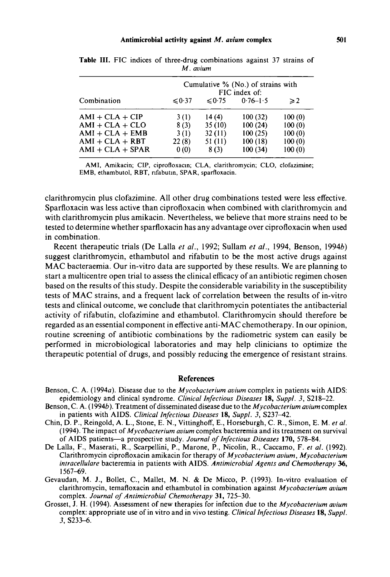#### **Antimicrobial activity against** *M. avium* **complex 501**

| Combination        | Cumulative % (No.) of strains with<br>FIC index of: |                  |              |               |  |
|--------------------|-----------------------------------------------------|------------------|--------------|---------------|--|
|                    | $\leq 0.37$                                         | $\leqslant$ 0.75 | $0.76 - 1.5$ | $\geqslant$ 2 |  |
| $AMI + CLA + CIP$  | 3(1)                                                | 14(4)            | 100(32)      | 100(0)        |  |
| $AMI + CLA + CLO$  | 8(3)                                                | 35(10)           | 100(24)      | 100(0)        |  |
| $AMI + CLA + EMB$  | 3(1)                                                | 32(11)           | 100(25)      | 100(0)        |  |
| $AMI + CLA + RBT$  | 22(8)                                               | 51 (11)          | 100(18)      | 100(0)        |  |
| $AMI + CLA + SPAR$ | 0(0)                                                | 8(3)             | 100(34)      | 100(0)        |  |

**Table III.** FIC indices of three-drug combinations against 37 strains of *M. avium*

AMI, Amikacin; CIP, ciprofloxacin; CLA, clarithromycin; CLO, clofazimine; EMB, ethambutol, RBT, nfabutin, SPAR, sparfloxacin.

clarithromycin plus clofazimine. All other drug combinations tested were less effective. Sparfloxacin was less active than ciprofloxacin when combined with clarithromycin and with clarithromycin plus amikacin. Nevertheless, we believe that more strains need to be tested to determine whether sparfloxacin has any advantage over ciprofloxacin when used in combination.

Recent therapeutic trials (De Lalla *et al.,* 1992; Sullam *et al.,* 1994, Benson, 19946) suggest clarithromycin, ethambutol and rifabutin to be the most active drugs against MAC bacteraemia. Our in-vitro data are supported by these results. We are planning to start a multicentre open trial to assess the clinical efficacy of an antibiotic regimen chosen based on the results of this study. Despite the considerable variability in the susceptibility tests of MAC strains, and a frequent lack of correlation between the results of in-vitro tests and clinical outcome, we conclude that clarithromycin potentiates the antibacterial activity of rifabutin, clofazimine and ethambutol. Clarithromycin should therefore be regarded as an essential component in effective anti-MAC chemotherapy. In our opinion, routine screening of antibiotic combinations by the radiometric system can easily be performed in microbiological laboratories and may help clinicians to optimize the therapeutic potential of drugs, and possibly reducing the emergence of resistant strains.

## **References**

- Benson, C. A. (1994a). Disease due to the *Mycobacterium avium* complex in patients with AIDS: epidemiology and clinical syndrome. *Clinical Infectious Diseases* 18, *Suppl. 3,* S218-22.
- Benson, C. A. (19946). Treatment of disseminated disease due to the *Mycobacterium avium* complex in patients with AIDS. *Clinical Infectious Diseases* 18, *Suppl. 3,* S237-42.
- Chin, D. P., Reingold, A. L., Stone, E. N., Vittinghoff, E., Horseburgh, C. R., Simon, E. M. *et al.* (1994). The impact *of Mycobacterium avium* complex bacteremia and its treatment on survival of AIDS patients—a prospective study. *Journal of Infectious Diseases* **170,** 578-84.
- De Lalla, F., Maserati, R., Scarpellini, P., Marone, P., Nicolin, R., Caccamo, F. *et al.* (1992). Clarithromycin ciprofloxacin amikacin for therapy *of Mycobacterium avium, Mycobacterium intracellulare* bacteremia in patients with AIDS. *Antimicrobial Agents and Chemotherapy* 36, 1567-69.
- Gevaudan, M. *].,* Bollet, C, Mallet, M. N. & De Micco, P. (1993). In-vitro evaluation of clarithromycin, temafloxacin and ethambutol in combination against *Mycobacterium avium* complex. *Journal of Antimicrobial Chemotherapy* 31, 725-30.
- Grosset, J. H. (1994). Assessment of new therapies for infection due to the *Mycobacterium avium* complex: appropriate use of in vitro and in vivo testing. *Clinical Infectious Diseases* 18, *Suppl. 3,* S233-6.